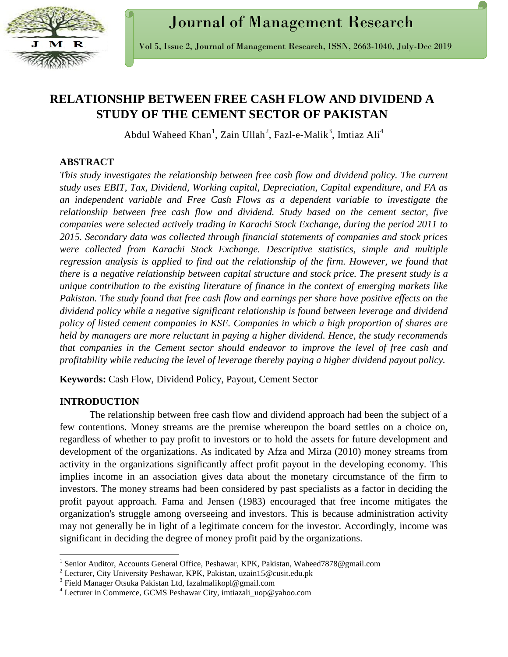

# **RELATIONSHIP BETWEEN FREE CASH FLOW AND DIVIDEND A STUDY OF THE CEMENT SECTOR OF PAKISTAN**

Abdul Waheed Khan<sup>1</sup>, Zain Ullah<sup>2</sup>, Fazl-e-Malik<sup>3</sup>, Imtiaz Ali<sup>4</sup>

## **ABSTRACT**

*This study investigates the relationship between free cash flow and dividend policy. The current study uses EBIT, Tax, Dividend, Working capital, Depreciation, Capital expenditure, and FA as an independent variable and Free Cash Flows as a dependent variable to investigate the relationship between free cash flow and dividend. Study based on the cement sector, five companies were selected actively trading in Karachi Stock Exchange, during the period 2011 to 2015. Secondary data was collected through financial statements of companies and stock prices were collected from Karachi Stock Exchange. Descriptive statistics, simple and multiple regression analysis is applied to find out the relationship of the firm. However, we found that there is a negative relationship between capital structure and stock price. The present study is a unique contribution to the existing literature of finance in the context of emerging markets like Pakistan. The study found that free cash flow and earnings per share have positive effects on the dividend policy while a negative significant relationship is found between leverage and dividend policy of listed cement companies in KSE. Companies in which a high proportion of shares are held by managers are more reluctant in paying a higher dividend. Hence, the study recommends that companies in the Cement sector should endeavor to improve the level of free cash and profitability while reducing the level of leverage thereby paying a higher dividend payout policy.*

**Keywords:** Cash Flow, Dividend Policy, Payout, Cement Sector

## **INTRODUCTION**

 $\overline{\phantom{a}}$ 

The relationship between free cash flow and dividend approach had been the subject of a few contentions. Money streams are the premise whereupon the board settles on a choice on, regardless of whether to pay profit to investors or to hold the assets for future development and development of the organizations. As indicated by Afza and Mirza (2010) money streams from activity in the organizations significantly affect profit payout in the developing economy. This implies income in an association gives data about the monetary circumstance of the firm to investors. The money streams had been considered by past specialists as a factor in deciding the profit payout approach. Fama and Jensen (1983) encouraged that free income mitigates the organization's struggle among overseeing and investors. This is because administration activity may not generally be in light of a legitimate concern for the investor. Accordingly, income was significant in deciding the degree of money profit paid by the organizations.

<sup>&</sup>lt;sup>1</sup> Senior Auditor, Accounts General Office, Peshawar, KPK, Pakistan, Waheed7878@gmail.com

<sup>2</sup> Lecturer, City University Peshawar, KPK, Pakistan, uzain15@cusit.edu.pk

<sup>3</sup> Field Manager Otsuka Pakistan Ltd, fazalmalikopl@gmail.com

<sup>&</sup>lt;sup>4</sup> Lecturer in Commerce, GCMS Peshawar City, imtiazali uop@yahoo.com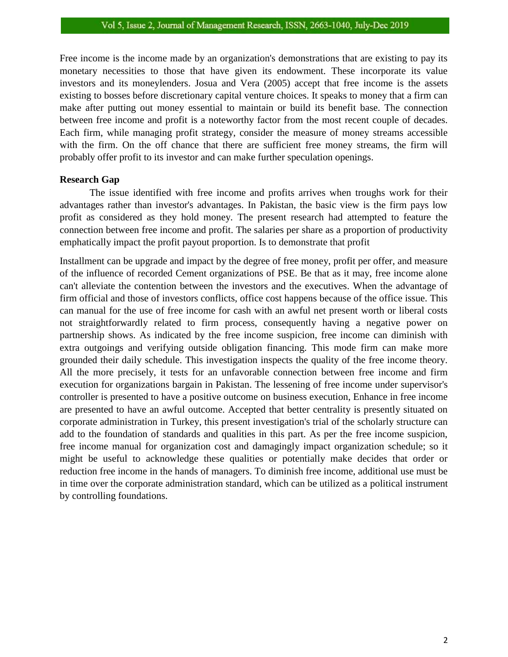Free income is the income made by an organization's demonstrations that are existing to pay its monetary necessities to those that have given its endowment. These incorporate its value investors and its moneylenders. Josua and Vera (2005) accept that free income is the assets existing to bosses before discretionary capital venture choices. It speaks to money that a firm can make after putting out money essential to maintain or build its benefit base. The connection between free income and profit is a noteworthy factor from the most recent couple of decades. Each firm, while managing profit strategy, consider the measure of money streams accessible with the firm. On the off chance that there are sufficient free money streams, the firm will probably offer profit to its investor and can make further speculation openings.

#### **Research Gap**

The issue identified with free income and profits arrives when troughs work for their advantages rather than investor's advantages. In Pakistan, the basic view is the firm pays low profit as considered as they hold money. The present research had attempted to feature the connection between free income and profit. The salaries per share as a proportion of productivity emphatically impact the profit payout proportion. Is to demonstrate that profit

Installment can be upgrade and impact by the degree of free money, profit per offer, and measure of the influence of recorded Cement organizations of PSE. Be that as it may, free income alone can't alleviate the contention between the investors and the executives. When the advantage of firm official and those of investors conflicts, office cost happens because of the office issue. This can manual for the use of free income for cash with an awful net present worth or liberal costs not straightforwardly related to firm process, consequently having a negative power on partnership shows. As indicated by the free income suspicion, free income can diminish with extra outgoings and verifying outside obligation financing. This mode firm can make more grounded their daily schedule. This investigation inspects the quality of the free income theory. All the more precisely, it tests for an unfavorable connection between free income and firm execution for organizations bargain in Pakistan. The lessening of free income under supervisor's controller is presented to have a positive outcome on business execution, Enhance in free income are presented to have an awful outcome. Accepted that better centrality is presently situated on corporate administration in Turkey, this present investigation's trial of the scholarly structure can add to the foundation of standards and qualities in this part. As per the free income suspicion, free income manual for organization cost and damagingly impact organization schedule; so it might be useful to acknowledge these qualities or potentially make decides that order or reduction free income in the hands of managers. To diminish free income, additional use must be in time over the corporate administration standard, which can be utilized as a political instrument by controlling foundations.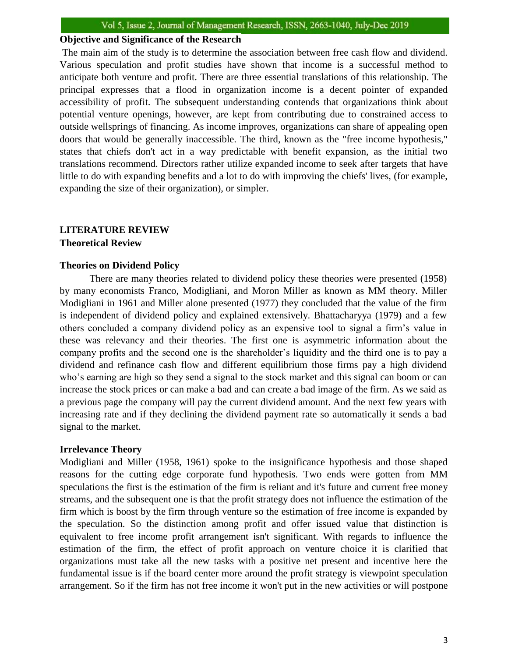#### **Objective and Significance of the Research**

The main aim of the study is to determine the association between free cash flow and dividend. Various speculation and profit studies have shown that income is a successful method to anticipate both venture and profit. There are three essential translations of this relationship. The principal expresses that a flood in organization income is a decent pointer of expanded accessibility of profit. The subsequent understanding contends that organizations think about potential venture openings, however, are kept from contributing due to constrained access to outside wellsprings of financing. As income improves, organizations can share of appealing open doors that would be generally inaccessible. The third, known as the "free income hypothesis," states that chiefs don't act in a way predictable with benefit expansion, as the initial two translations recommend. Directors rather utilize expanded income to seek after targets that have little to do with expanding benefits and a lot to do with improving the chiefs' lives, (for example, expanding the size of their organization), or simpler.

#### **LITERATURE REVIEW Theoretical Review**

#### **Theories on Dividend Policy**

There are many theories related to dividend policy these theories were presented (1958) by many economists Franco, Modigliani, and Moron Miller as known as MM theory. Miller Modigliani in 1961 and Miller alone presented (1977) they concluded that the value of the firm is independent of dividend policy and explained extensively. Bhattacharyya (1979) and a few others concluded a company dividend policy as an expensive tool to signal a firm's value in these was relevancy and their theories. The first one is asymmetric information about the company profits and the second one is the shareholder's liquidity and the third one is to pay a dividend and refinance cash flow and different equilibrium those firms pay a high dividend who's earning are high so they send a signal to the stock market and this signal can boom or can increase the stock prices or can make a bad and can create a bad image of the firm. As we said as a previous page the company will pay the current dividend amount. And the next few years with increasing rate and if they declining the dividend payment rate so automatically it sends a bad signal to the market.

#### **Irrelevance Theory**

Modigliani and Miller (1958, 1961) spoke to the insignificance hypothesis and those shaped reasons for the cutting edge corporate fund hypothesis. Two ends were gotten from MM speculations the first is the estimation of the firm is reliant and it's future and current free money streams, and the subsequent one is that the profit strategy does not influence the estimation of the firm which is boost by the firm through venture so the estimation of free income is expanded by the speculation. So the distinction among profit and offer issued value that distinction is equivalent to free income profit arrangement isn't significant. With regards to influence the estimation of the firm, the effect of profit approach on venture choice it is clarified that organizations must take all the new tasks with a positive net present and incentive here the fundamental issue is if the board center more around the profit strategy is viewpoint speculation arrangement. So if the firm has not free income it won't put in the new activities or will postpone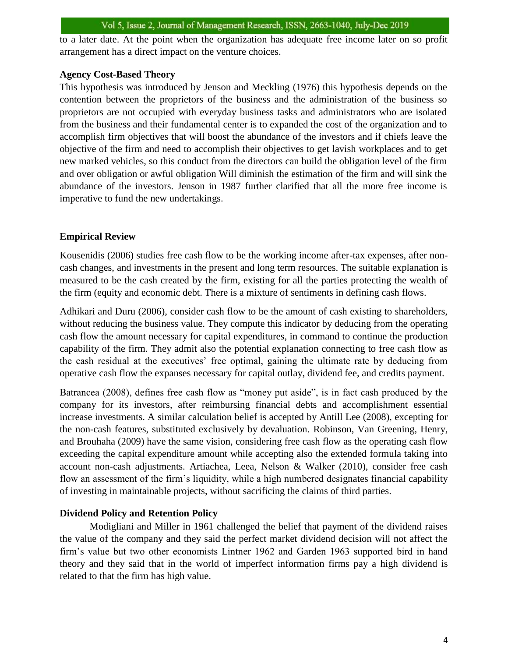to a later date. At the point when the organization has adequate free income later on so profit arrangement has a direct impact on the venture choices.

#### **Agency Cost-Based Theory**

This hypothesis was introduced by Jenson and Meckling (1976) this hypothesis depends on the contention between the proprietors of the business and the administration of the business so proprietors are not occupied with everyday business tasks and administrators who are isolated from the business and their fundamental center is to expanded the cost of the organization and to accomplish firm objectives that will boost the abundance of the investors and if chiefs leave the objective of the firm and need to accomplish their objectives to get lavish workplaces and to get new marked vehicles, so this conduct from the directors can build the obligation level of the firm and over obligation or awful obligation Will diminish the estimation of the firm and will sink the abundance of the investors. Jenson in 1987 further clarified that all the more free income is imperative to fund the new undertakings.

## **Empirical Review**

Kousenidis (2006) studies free cash flow to be the working income after-tax expenses, after noncash changes, and investments in the present and long term resources. The suitable explanation is measured to be the cash created by the firm, existing for all the parties protecting the wealth of the firm (equity and economic debt. There is a mixture of sentiments in defining cash flows.

Adhikari and Duru (2006), consider cash flow to be the amount of cash existing to shareholders, without reducing the business value. They compute this indicator by deducing from the operating cash flow the amount necessary for capital expenditures, in command to continue the production capability of the firm. They admit also the potential explanation connecting to free cash flow as the cash residual at the executives' free optimal, gaining the ultimate rate by deducing from operative cash flow the expanses necessary for capital outlay, dividend fee, and credits payment.

Batrancea (2008), defines free cash flow as "money put aside", is in fact cash produced by the company for its investors, after reimbursing financial debts and accomplishment essential increase investments. A similar calculation belief is accepted by Antill Lee (2008), excepting for the non-cash features, substituted exclusively by devaluation. Robinson, Van Greening, Henry, and Brouhaha (2009) have the same vision, considering free cash flow as the operating cash flow exceeding the capital expenditure amount while accepting also the extended formula taking into account non-cash adjustments. Artiachea, Leea, Nelson & Walker (2010), consider free cash flow an assessment of the firm's liquidity, while a high numbered designates financial capability of investing in maintainable projects, without sacrificing the claims of third parties.

### **Dividend Policy and Retention Policy**

Modigliani and Miller in 1961 challenged the belief that payment of the dividend raises the value of the company and they said the perfect market dividend decision will not affect the firm's value but two other economists Lintner 1962 and Garden 1963 supported bird in hand theory and they said that in the world of imperfect information firms pay a high dividend is related to that the firm has high value.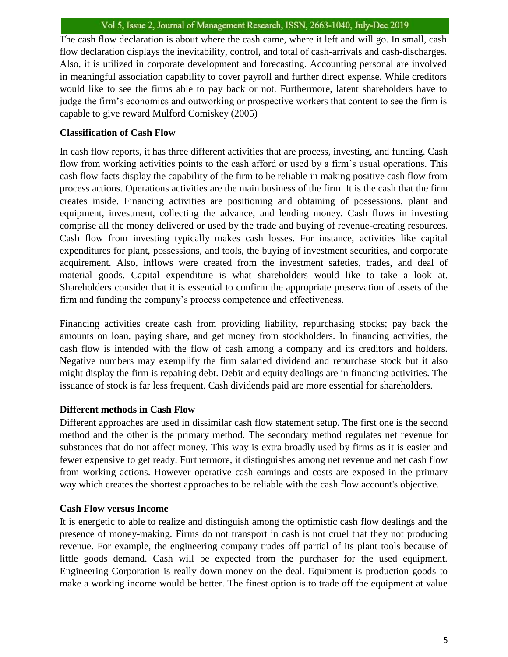The cash flow declaration is about where the cash came, where it left and will go. In small, cash flow declaration displays the inevitability, control, and total of cash-arrivals and cash-discharges. Also, it is utilized in corporate development and forecasting. Accounting personal are involved in meaningful association capability to cover payroll and further direct expense. While creditors would like to see the firms able to pay back or not. Furthermore, latent shareholders have to judge the firm's economics and outworking or prospective workers that content to see the firm is capable to give reward Mulford Comiskey (2005)

## **Classification of Cash Flow**

In cash flow reports, it has three different activities that are process, investing, and funding. Cash flow from working activities points to the cash afford or used by a firm's usual operations. This cash flow facts display the capability of the firm to be reliable in making positive cash flow from process actions. Operations activities are the main business of the firm. It is the cash that the firm creates inside. Financing activities are positioning and obtaining of possessions, plant and equipment, investment, collecting the advance, and lending money. Cash flows in investing comprise all the money delivered or used by the trade and buying of revenue-creating resources. Cash flow from investing typically makes cash losses. For instance, activities like capital expenditures for plant, possessions, and tools, the buying of investment securities, and corporate acquirement. Also, inflows were created from the investment safeties, trades, and deal of material goods. Capital expenditure is what shareholders would like to take a look at. Shareholders consider that it is essential to confirm the appropriate preservation of assets of the firm and funding the company's process competence and effectiveness.

Financing activities create cash from providing liability, repurchasing stocks; pay back the amounts on loan, paying share, and get money from stockholders. In financing activities, the cash flow is intended with the flow of cash among a company and its creditors and holders. Negative numbers may exemplify the firm salaried dividend and repurchase stock but it also might display the firm is repairing debt. Debit and equity dealings are in financing activities. The issuance of stock is far less frequent. Cash dividends paid are more essential for shareholders.

## **Different methods in Cash Flow**

Different approaches are used in dissimilar cash flow statement setup. The first one is the second method and the other is the primary method. The secondary method regulates net revenue for substances that do not affect money. This way is extra broadly used by firms as it is easier and fewer expensive to get ready. Furthermore, it distinguishes among net revenue and net cash flow from working actions. However operative cash earnings and costs are exposed in the primary way which creates the shortest approaches to be reliable with the cash flow account's objective.

### **Cash Flow versus Income**

It is energetic to able to realize and distinguish among the optimistic cash flow dealings and the presence of money-making. Firms do not transport in cash is not cruel that they not producing revenue. For example, the engineering company trades off partial of its plant tools because of little goods demand. Cash will be expected from the purchaser for the used equipment. Engineering Corporation is really down money on the deal. Equipment is production goods to make a working income would be better. The finest option is to trade off the equipment at value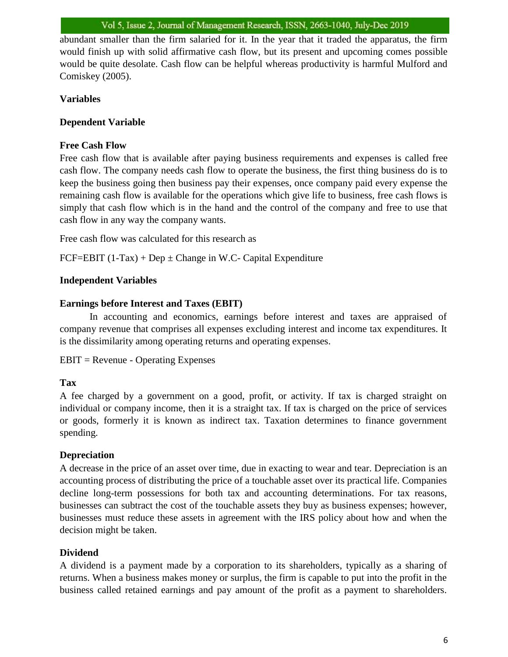abundant smaller than the firm salaried for it. In the year that it traded the apparatus, the firm would finish up with solid affirmative cash flow, but its present and upcoming comes possible would be quite desolate. Cash flow can be helpful whereas productivity is harmful Mulford and Comiskey (2005).

### **Variables**

## **Dependent Variable**

### **Free Cash Flow**

Free cash flow that is available after paying business requirements and expenses is called free cash flow. The company needs cash flow to operate the business, the first thing business do is to keep the business going then business pay their expenses, once company paid every expense the remaining cash flow is available for the operations which give life to business, free cash flows is simply that cash flow which is in the hand and the control of the company and free to use that cash flow in any way the company wants.

Free cash flow was calculated for this research as

FCF=EBIT  $(1-Tax) + Dep \pm Change$  in W.C- Capital Expenditure

#### **Independent Variables**

#### **Earnings before Interest and Taxes (EBIT)**

In accounting and economics, earnings before interest and taxes are appraised of company revenue that comprises all expenses excluding interest and income tax expenditures. It is the dissimilarity among operating returns and operating expenses.

```
EBIT = Revenue - Operating Expenses
```
### **Tax**

A fee charged by a government on a good, profit, or activity. If tax is charged straight on individual or company income, then it is a straight tax. If tax is charged on the price of services or goods, formerly it is known as indirect tax. Taxation determines to finance government spending.

### **Depreciation**

A decrease in the price of an asset over time, due in exacting to wear and tear. Depreciation is an accounting process of distributing the price of a touchable asset over its practical life. Companies decline long-term possessions for both tax and accounting determinations. For tax reasons, businesses can subtract the cost of the touchable assets they buy as business expenses; however, businesses must reduce these assets in agreement with the IRS policy about how and when the decision might be taken.

### **Dividend**

A dividend is a payment made by a corporation to its shareholders, typically as a sharing of returns. When a business makes money or surplus, the firm is capable to put into the profit in the business called retained earnings and pay amount of the profit as a payment to shareholders.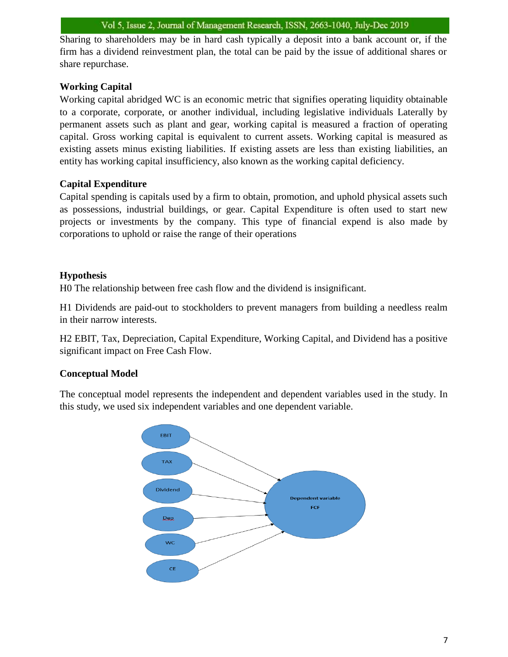Sharing to shareholders may be in hard cash typically a deposit into a bank account or, if the firm has a dividend reinvestment plan, the total can be paid by the issue of additional shares or share repurchase.

## **Working Capital**

Working capital abridged WC is an economic metric that signifies operating liquidity obtainable to a corporate, corporate, or another individual, including legislative individuals Laterally by permanent assets such as plant and gear, working capital is measured a fraction of operating capital. Gross working capital is equivalent to current assets. Working capital is measured as existing assets minus existing liabilities. If existing assets are less than existing liabilities, an entity has working capital insufficiency, also known as the working capital deficiency.

## **Capital Expenditure**

Capital spending is capitals used by a firm to obtain, promotion, and uphold physical assets such as possessions, industrial buildings, or gear. Capital Expenditure is often used to start new projects or investments by the company. This type of financial expend is also made by corporations to uphold or raise the range of their operations

## **Hypothesis**

H0 The relationship between free cash flow and the dividend is insignificant.

H1 Dividends are paid-out to stockholders to prevent managers from building a needless realm in their narrow interests.

H2 EBIT, Tax, Depreciation, Capital Expenditure, Working Capital, and Dividend has a positive significant impact on Free Cash Flow.

## **Conceptual Model**

The conceptual model represents the independent and dependent variables used in the study. In this study, we used six independent variables and one dependent variable.

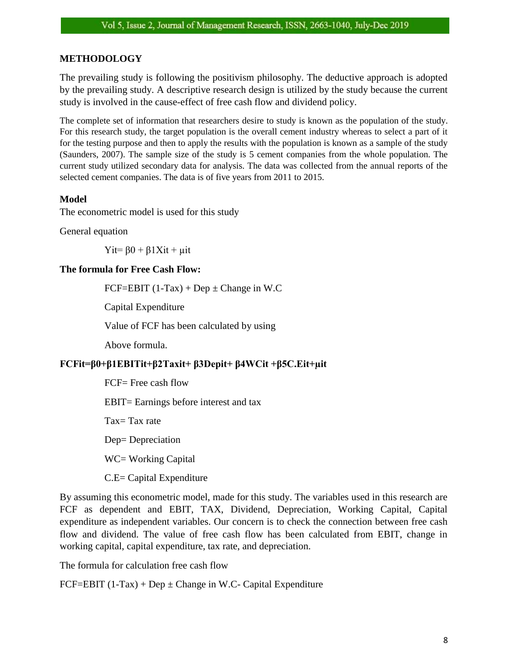## **METHODOLOGY**

The prevailing study is following the positivism philosophy. The deductive approach is adopted by the prevailing study. A descriptive research design is utilized by the study because the current study is involved in the cause-effect of free cash flow and dividend policy.

The complete set of information that researchers desire to study is known as the population of the study. For this research study, the target population is the overall cement industry whereas to select a part of it for the testing purpose and then to apply the results with the population is known as a sample of the study (Saunders, 2007). The sample size of the study is 5 cement companies from the whole population. The current study utilized secondary data for analysis. The data was collected from the annual reports of the selected cement companies. The data is of five years from 2011 to 2015.

### **Model**

The econometric model is used for this study

General equation

Yit=  $\beta$ 0 +  $\beta$ 1Xit +  $\mu$ it

#### **The formula for Free Cash Flow:**

FCF=EBIT  $(1-Tax) + Dep \pm Change$  in W.C

Capital Expenditure

Value of FCF has been calculated by using

Above formula.

### **FCFit=β0+β1EBITit+β2Taxit+ β3Depit+ β4WCit +β5C.Eit+µit**

FCF= Free cash flow

EBIT= Earnings before interest and tax

Tax= Tax rate

Dep= Depreciation

WC= Working Capital

C.E= Capital Expenditure

By assuming this econometric model, made for this study. The variables used in this research are FCF as dependent and EBIT, TAX, Dividend, Depreciation, Working Capital, Capital expenditure as independent variables. Our concern is to check the connection between free cash flow and dividend. The value of free cash flow has been calculated from EBIT, change in working capital, capital expenditure, tax rate, and depreciation.

The formula for calculation free cash flow

FCF=EBIT  $(1-Tax) + Dep \pm Change$  in W.C- Capital Expenditure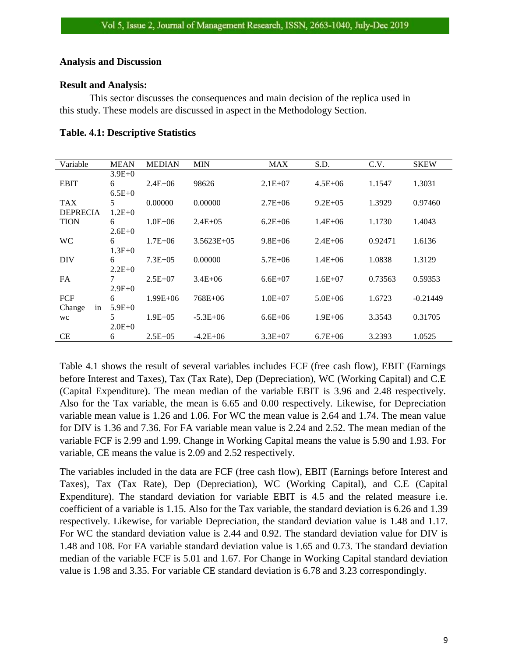#### **Analysis and Discussion**

#### **Result and Analysis:**

This sector discusses the consequences and main decision of the replica used in this study. These models are discussed in aspect in the Methodology Section.

| Variable        | <b>MEAN</b>     | <b>MEDIAN</b> | <b>MIN</b>      | <b>MAX</b>  | S.D.         | C.V.    | <b>SKEW</b> |
|-----------------|-----------------|---------------|-----------------|-------------|--------------|---------|-------------|
|                 | $3.9E + 0$      |               |                 |             |              |         |             |
| <b>EBIT</b>     | 6               | $2.4E + 06$   | 98626           | $2.1E+07$   | $4.5E + 06$  | 1.1547  | 1.3031      |
|                 | $6.5E+0$        |               |                 |             |              |         |             |
| <b>TAX</b>      | 5               | 0.00000       | 0.00000         | $2.7E + 06$ | $9.2E + 0.5$ | 1.3929  | 0.97460     |
| <b>DEPRECIA</b> | $1.2E+0$        |               |                 |             |              |         |             |
| <b>TION</b>     | 6               | $1.0E + 06$   | $2.4E + 0.5$    | $6.2E + 06$ | $1.4E + 06$  | 1.1730  | 1.4043      |
|                 | $2.6E+0$        |               |                 |             |              |         |             |
| <b>WC</b>       | 6               | $1.7E + 06$   | $3.5623E + 0.5$ | $9.8E + 06$ | $2.4E + 06$  | 0.92471 | 1.6136      |
|                 | $1.3E+0$        |               |                 |             |              |         |             |
| DIV             | 6               | $7.3E + 0.5$  | 0.00000         | $5.7E + 06$ | $1.4E + 06$  | 1.0838  | 1.3129      |
|                 | $2.2E+0$        |               |                 |             |              |         |             |
| <b>FA</b>       | $7\overline{ }$ | $2.5E+07$     | $3.4E + 06$     | $6.6E+07$   | $1.6E + 07$  | 0.73563 | 0.59353     |
|                 | $2.9E+0$        |               |                 |             |              |         |             |
| FCF             | 6               | $1.99E + 06$  | 768E+06         | $1.0E + 07$ | $5.0E + 06$  | 1.6723  | $-0.21449$  |
| Change<br>in    | $5.9E+0$        |               |                 |             |              |         |             |
| <b>WC</b>       | .5              | $1.9E + 0.5$  | $-5.3E+06$      | $6.6E + 06$ | $1.9E + 06$  | 3.3543  | 0.31705     |
|                 | $2.0E+0$        |               |                 |             |              |         |             |
| <b>CE</b>       | 6               | $2.5E+0.5$    | $-4.2E+06$      | $3.3E+07$   | $6.7E + 06$  | 3.2393  | 1.0525      |

**Table. 4.1: Descriptive Statistics**

Table 4.1 shows the result of several variables includes FCF (free cash flow), EBIT (Earnings before Interest and Taxes), Tax (Tax Rate), Dep (Depreciation), WC (Working Capital) and C.E (Capital Expenditure). The mean median of the variable EBIT is 3.96 and 2.48 respectively. Also for the Tax variable, the mean is 6.65 and 0.00 respectively. Likewise, for Depreciation variable mean value is 1.26 and 1.06. For WC the mean value is 2.64 and 1.74. The mean value for DIV is 1.36 and 7.36. For FA variable mean value is 2.24 and 2.52. The mean median of the variable FCF is 2.99 and 1.99. Change in Working Capital means the value is 5.90 and 1.93. For variable, CE means the value is 2.09 and 2.52 respectively.

The variables included in the data are FCF (free cash flow), EBIT (Earnings before Interest and Taxes), Tax (Tax Rate), Dep (Depreciation), WC (Working Capital), and C.E (Capital Expenditure). The standard deviation for variable EBIT is 4.5 and the related measure i.e. coefficient of a variable is 1.15. Also for the Tax variable, the standard deviation is 6.26 and 1.39 respectively. Likewise, for variable Depreciation, the standard deviation value is 1.48 and 1.17. For WC the standard deviation value is 2.44 and 0.92. The standard deviation value for DIV is 1.48 and 108. For FA variable standard deviation value is 1.65 and 0.73. The standard deviation median of the variable FCF is 5.01 and 1.67. For Change in Working Capital standard deviation value is 1.98 and 3.35. For variable CE standard deviation is 6.78 and 3.23 correspondingly.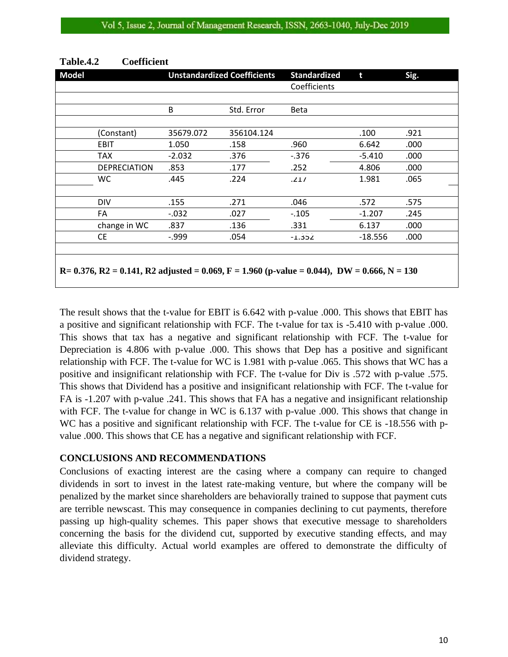| <b>Model</b> |                                                                                                             | <b>Unstandardized Coefficients</b> |            | <b>Standardized</b> | t         | Sig. |
|--------------|-------------------------------------------------------------------------------------------------------------|------------------------------------|------------|---------------------|-----------|------|
|              |                                                                                                             |                                    |            | Coefficients        |           |      |
|              |                                                                                                             |                                    |            |                     |           |      |
|              |                                                                                                             | B                                  | Std. Error | <b>Beta</b>         |           |      |
|              |                                                                                                             |                                    |            |                     |           |      |
|              | (Constant)                                                                                                  | 35679.072                          | 356104.124 |                     | .100      | .921 |
|              | <b>EBIT</b>                                                                                                 | 1.050                              | .158       | .960                | 6.642     | .000 |
|              | <b>TAX</b>                                                                                                  | $-2.032$                           | .376       | -.376               | $-5.410$  | .000 |
|              | <b>DEPRECIATION</b>                                                                                         | .853                               | .177       | .252                | 4.806     | .000 |
|              | WC.                                                                                                         | .445                               | .224       | .217                | 1.981     | .065 |
|              |                                                                                                             |                                    |            |                     |           |      |
|              | <b>DIV</b>                                                                                                  | .155                               | .271       | .046                | .572      | .575 |
|              | FA                                                                                                          | $-0.032$                           | .027       | $-.105$             | $-1.207$  | .245 |
|              | change in WC                                                                                                | .837                               | .136       | .331                | 6.137     | .000 |
|              | <b>CE</b>                                                                                                   | -.999                              | .054       | $-1.352$            | $-18.556$ | .000 |
|              |                                                                                                             |                                    |            |                     |           |      |
|              |                                                                                                             |                                    |            |                     |           |      |
|              | $R = 0.376$ , $R2 = 0.141$ , $R2$ adjusted = 0.069, $F = 1.960$ (p-value = 0.044), $DW = 0.666$ , $N = 130$ |                                    |            |                     |           |      |
|              |                                                                                                             |                                    |            |                     |           |      |

#### **Table.4.2 Coefficient**

The result shows that the t-value for EBIT is 6.642 with p-value .000. This shows that EBIT has a positive and significant relationship with FCF. The t-value for tax is -5.410 with p-value .000. This shows that tax has a negative and significant relationship with FCF. The t-value for Depreciation is 4.806 with p-value .000. This shows that Dep has a positive and significant relationship with FCF. The t-value for WC is 1.981 with p-value .065. This shows that WC has a positive and insignificant relationship with FCF. The t-value for Div is .572 with p-value .575. This shows that Dividend has a positive and insignificant relationship with FCF. The t-value for FA is -1.207 with p-value .241. This shows that FA has a negative and insignificant relationship with FCF. The t-value for change in WC is 6.137 with p-value .000. This shows that change in WC has a positive and significant relationship with FCF. The t-value for CE is -18.556 with pvalue .000. This shows that CE has a negative and significant relationship with FCF.

#### **CONCLUSIONS AND RECOMMENDATIONS**

Conclusions of exacting interest are the casing where a company can require to changed dividends in sort to invest in the latest rate‐making venture, but where the company will be penalized by the market since shareholders are behaviorally trained to suppose that payment cuts are terrible newscast. This may consequence in companies declining to cut payments, therefore passing up high-quality schemes. This paper shows that executive message to shareholders concerning the basis for the dividend cut, supported by executive standing effects, and may alleviate this difficulty. Actual world examples are offered to demonstrate the difficulty of dividend strategy.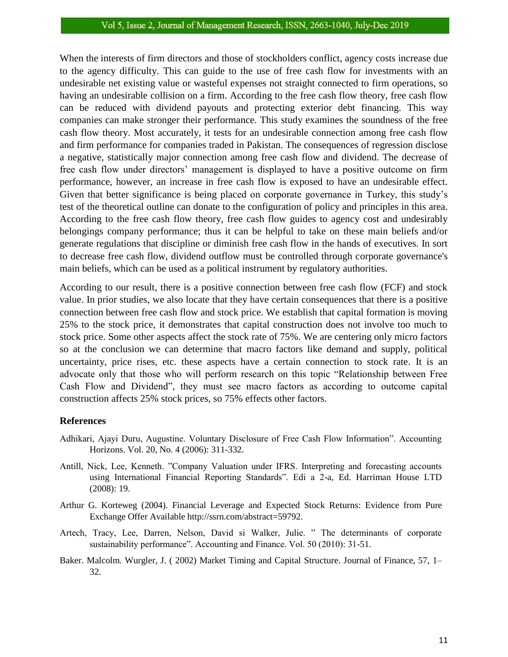When the interests of firm directors and those of stockholders conflict, agency costs increase due to the agency difficulty. This can guide to the use of free cash flow for investments with an undesirable net existing value or wasteful expenses not straight connected to firm operations, so having an undesirable collision on a firm. According to the free cash flow theory, free cash flow can be reduced with dividend payouts and protecting exterior debt financing. This way companies can make stronger their performance. This study examines the soundness of the free cash flow theory. Most accurately, it tests for an undesirable connection among free cash flow and firm performance for companies traded in Pakistan. The consequences of regression disclose a negative, statistically major connection among free cash flow and dividend. The decrease of free cash flow under directors' management is displayed to have a positive outcome on firm performance, however, an increase in free cash flow is exposed to have an undesirable effect. Given that better significance is being placed on corporate governance in Turkey, this study's test of the theoretical outline can donate to the configuration of policy and principles in this area. According to the free cash flow theory, free cash flow guides to agency cost and undesirably belongings company performance; thus it can be helpful to take on these main beliefs and/or generate regulations that discipline or diminish free cash flow in the hands of executives. In sort to decrease free cash flow, dividend outflow must be controlled through corporate governance's main beliefs, which can be used as a political instrument by regulatory authorities.

According to our result, there is a positive connection between free cash flow (FCF) and stock value. In prior studies, we also locate that they have certain consequences that there is a positive connection between free cash flow and stock price. We establish that capital formation is moving 25% to the stock price, it demonstrates that capital construction does not involve too much to stock price. Some other aspects affect the stock rate of 75%. We are centering only micro factors so at the conclusion we can determine that macro factors like demand and supply, political uncertainty, price rises, etc. these aspects have a certain connection to stock rate. It is an advocate only that those who will perform research on this topic "Relationship between Free Cash Flow and Dividend", they must see macro factors as according to outcome capital construction affects 25% stock prices, so 75% effects other factors.

#### **References**

- Adhikari, Ajayi Duru, Augustine. Voluntary Disclosure of Free Cash Flow Information". Accounting Horizons. Vol. 20, No. 4 (2006): 311-332.
- Antill, Nick, Lee, Kenneth. "Company Valuation under IFRS. Interpreting and forecasting accounts using International Financial Reporting Standards". Edi a 2-a, Ed. Harriman House LTD (2008): 19.
- Arthur G. Korteweg (2004). Financial Leverage and Expected Stock Returns: Evidence from Pure Exchange Offer Available http://ssrn.com/abstract=59792.
- Artech, Tracy, Lee, Darren, Nelson, David si Walker, Julie. " The determinants of corporate sustainability performance". Accounting and Finance. Vol. 50 (2010): 31-51.
- Baker. Malcolm. Wurgler, J. ( 2002) Market Timing and Capital Structure. Journal of Finance, 57, 1– 32.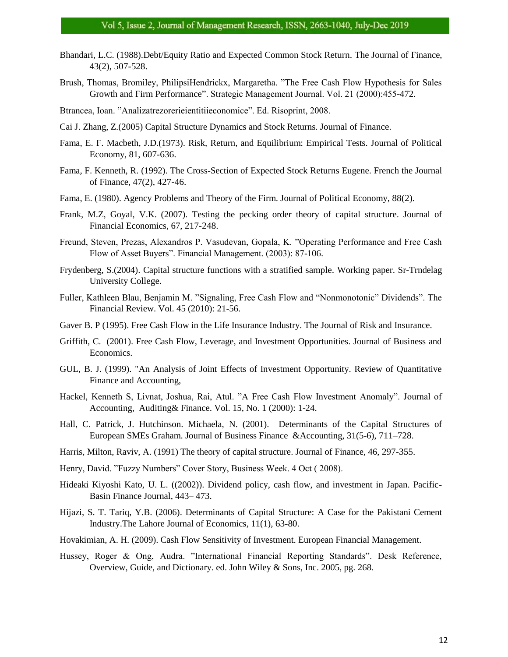- Bhandari, L.C. (1988).Debt/Equity Ratio and Expected Common Stock Return. The Journal of Finance, 43(2), 507-528.
- Brush, Thomas, Bromiley, PhilipsiHendrickx, Margaretha. "The Free Cash Flow Hypothesis for Sales Growth and Firm Performance". Strategic Management Journal. Vol. 21 (2000):455-472.
- Btrancea, Ioan. "Analizatrezorerieientitiieconomice". Ed. Risoprint, 2008.
- Cai J. Zhang, Z.(2005) Capital Structure Dynamics and Stock Returns. Journal of Finance.
- Fama, E. F. Macbeth, J.D.(1973). Risk, Return, and Equilibrium: Empirical Tests. Journal of Political Economy, 81, 607-636.
- Fama, F. Kenneth, R. (1992). The Cross-Section of Expected Stock Returns Eugene. French the Journal of Finance, 47(2), 427-46.
- Fama, E. (1980). Agency Problems and Theory of the Firm. Journal of Political Economy, 88(2).
- Frank, M.Z, Goyal, V.K. (2007). Testing the pecking order theory of capital structure. Journal of Financial Economics, 67, 217-248.
- Freund, Steven, Prezas, Alexandros P. Vasudevan, Gopala, K. "Operating Performance and Free Cash Flow of Asset Buyers". Financial Management. (2003): 87-106.
- Frydenberg, S.(2004). Capital structure functions with a stratified sample. Working paper. Sr-Trndelag University College.
- Fuller, Kathleen Blau, Benjamin M. "Signaling, Free Cash Flow and "Nonmonotonic" Dividends". The Financial Review. Vol. 45 (2010): 21-56.
- Gaver B. P (1995). Free Cash Flow in the Life Insurance Industry. The Journal of Risk and Insurance.
- Griffith, C. (2001). Free Cash Flow, Leverage, and Investment Opportunities. Journal of Business and Economics.
- GUL, B. J. (1999). "An Analysis of Joint Effects of Investment Opportunity. Review of Quantitative Finance and Accounting,
- Hackel, Kenneth S, Livnat, Joshua, Rai, Atul. "A Free Cash Flow Investment Anomaly". Journal of Accounting, Auditing& Finance. Vol. 15, No. 1 (2000): 1-24.
- Hall, C. Patrick, J. Hutchinson. Michaela, N. (2001). Determinants of the Capital Structures of European SMEs Graham. Journal of Business Finance &Accounting, 31(5-6), 711–728.
- Harris, Milton, Raviv, A. (1991) The theory of capital structure. Journal of Finance, 46, 297-355.
- Henry, David. "Fuzzy Numbers" Cover Story, Business Week. 4 Oct ( 2008).
- Hideaki Kiyoshi Kato, U. L. ((2002)). Dividend policy, cash flow, and investment in Japan. Pacific-Basin Finance Journal, 443– 473.
- Hijazi, S. T. Tariq, Y.B. (2006). Determinants of Capital Structure: A Case for the Pakistani Cement Industry.The Lahore Journal of Economics, 11(1), 63-80.
- Hovakimian, A. H. (2009). Cash Flow Sensitivity of Investment. European Financial Management.
- Hussey, Roger & Ong, Audra. "International Financial Reporting Standards". Desk Reference, Overview, Guide, and Dictionary. ed. John Wiley & Sons, Inc. 2005, pg. 268.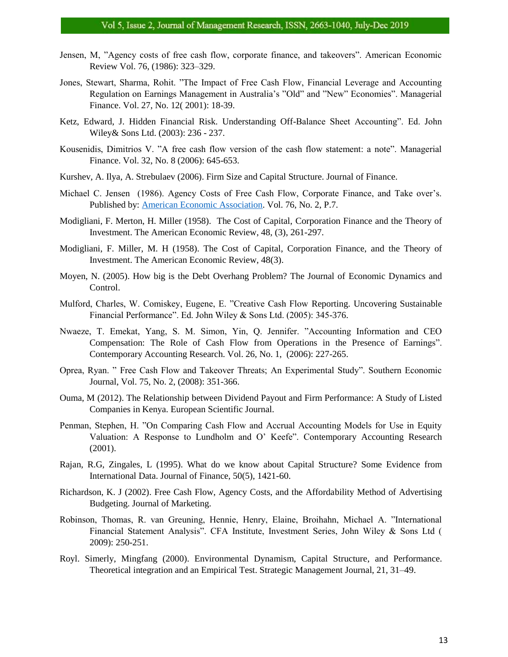- Jensen, M, "Agency costs of free cash flow, corporate finance, and takeovers". American Economic Review Vol. 76, (1986): 323–329.
- Jones, Stewart, Sharma, Rohit. "The Impact of Free Cash Flow, Financial Leverage and Accounting Regulation on Earnings Management in Australia's "Old" and "New" Economies". Managerial Finance. Vol. 27, No. 12( 2001): 18-39.
- Ketz, Edward, J. Hidden Financial Risk. Understanding Off-Balance Sheet Accounting". Ed. John Wiley& Sons Ltd. (2003): 236 - 237.
- Kousenidis, Dimitrios V. "A free cash flow version of the cash flow statement: a note". Managerial Finance. Vol. 32, No. 8 (2006): 645-653.
- Kurshev, A. Ilya, A. Strebulaev (2006). Firm Size and Capital Structure. Journal of Finance.
- Michael C. Jensen (1986). Agency Costs of Free Cash Flow, Corporate Finance, and Take over's. Published by: [American Economic Association.](https://www.jstor.org/publisher/aea) Vol. 76, No. 2, P.7.
- Modigliani, F. Merton, H. Miller (1958). The Cost of Capital, Corporation Finance and the Theory of Investment. The American Economic Review, 48, (3), 261-297.
- Modigliani, F. Miller, M. H (1958). The Cost of Capital, Corporation Finance, and the Theory of Investment. The American Economic Review, 48(3).
- Moyen, N. (2005). How big is the Debt Overhang Problem? The Journal of Economic Dynamics and Control.
- Mulford, Charles, W. Comiskey, Eugene, E. "Creative Cash Flow Reporting. Uncovering Sustainable Financial Performance". Ed. John Wiley & Sons Ltd. (2005): 345-376.
- Nwaeze, T. Emekat, Yang, S. M. Simon, Yin, Q. Jennifer. "Accounting Information and CEO Compensation: The Role of Cash Flow from Operations in the Presence of Earnings". Contemporary Accounting Research. Vol. 26, No. 1, (2006): 227-265.
- Oprea, Ryan. " Free Cash Flow and Takeover Threats; An Experimental Study". Southern Economic Journal, Vol. 75, No. 2, (2008): 351-366.
- Ouma, M (2012). The Relationship between Dividend Payout and Firm Performance: A Study of Listed Companies in Kenya. European Scientific Journal.
- Penman, Stephen, H. "On Comparing Cash Flow and Accrual Accounting Models for Use in Equity Valuation: A Response to Lundholm and O' Keefe". Contemporary Accounting Research (2001).
- Rajan, R.G, Zingales, L (1995). What do we know about Capital Structure? Some Evidence from International Data. Journal of Finance, 50(5), 1421-60.
- Richardson, K. J (2002). Free Cash Flow, Agency Costs, and the Affordability Method of Advertising Budgeting. Journal of Marketing.
- Robinson, Thomas, R. van Greuning, Hennie, Henry, Elaine, Broihahn, Michael A. "International Financial Statement Analysis". CFA Institute, Investment Series, John Wiley & Sons Ltd ( 2009): 250-251.
- Royl. Simerly, Mingfang (2000). Environmental Dynamism, Capital Structure, and Performance. Theoretical integration and an Empirical Test. Strategic Management Journal, 21, 31–49.